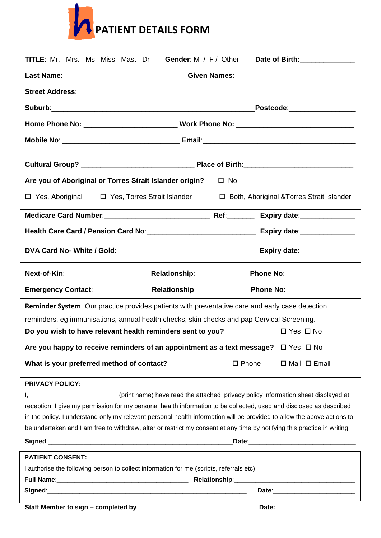

| <b>TITLE:</b> Mr. Mrs. Ms Miss Mast Dr                                                         |                                                                                                                                                                                                                                                                                                                                                                                                                                                                                              |                 | Gender: M / F / Other Date of Birth: |  |
|------------------------------------------------------------------------------------------------|----------------------------------------------------------------------------------------------------------------------------------------------------------------------------------------------------------------------------------------------------------------------------------------------------------------------------------------------------------------------------------------------------------------------------------------------------------------------------------------------|-----------------|--------------------------------------|--|
|                                                                                                |                                                                                                                                                                                                                                                                                                                                                                                                                                                                                              |                 |                                      |  |
|                                                                                                |                                                                                                                                                                                                                                                                                                                                                                                                                                                                                              |                 |                                      |  |
|                                                                                                |                                                                                                                                                                                                                                                                                                                                                                                                                                                                                              |                 | _Postcode:__________________         |  |
|                                                                                                |                                                                                                                                                                                                                                                                                                                                                                                                                                                                                              |                 |                                      |  |
|                                                                                                |                                                                                                                                                                                                                                                                                                                                                                                                                                                                                              |                 |                                      |  |
|                                                                                                |                                                                                                                                                                                                                                                                                                                                                                                                                                                                                              |                 |                                      |  |
|                                                                                                |                                                                                                                                                                                                                                                                                                                                                                                                                                                                                              |                 |                                      |  |
| Are you of Aboriginal or Torres Strait Islander origin?<br>$\square$ No                        |                                                                                                                                                                                                                                                                                                                                                                                                                                                                                              |                 |                                      |  |
| □ Yes, Aboriginal □ Yes, Torres Strait Islander<br>□ Both, Aboriginal & Torres Strait Islander |                                                                                                                                                                                                                                                                                                                                                                                                                                                                                              |                 |                                      |  |
|                                                                                                |                                                                                                                                                                                                                                                                                                                                                                                                                                                                                              |                 |                                      |  |
|                                                                                                |                                                                                                                                                                                                                                                                                                                                                                                                                                                                                              |                 |                                      |  |
|                                                                                                |                                                                                                                                                                                                                                                                                                                                                                                                                                                                                              |                 |                                      |  |
|                                                                                                |                                                                                                                                                                                                                                                                                                                                                                                                                                                                                              |                 |                                      |  |
|                                                                                                |                                                                                                                                                                                                                                                                                                                                                                                                                                                                                              |                 |                                      |  |
|                                                                                                |                                                                                                                                                                                                                                                                                                                                                                                                                                                                                              |                 |                                      |  |
|                                                                                                | <b>Reminder System:</b> Our practice provides patients with preventative care and early case detection                                                                                                                                                                                                                                                                                                                                                                                       |                 |                                      |  |
|                                                                                                | reminders, eg immunisations, annual health checks, skin checks and pap Cervical Screening.                                                                                                                                                                                                                                                                                                                                                                                                   |                 |                                      |  |
|                                                                                                | Do you wish to have relevant health reminders sent to you?                                                                                                                                                                                                                                                                                                                                                                                                                                   |                 | $\Box$ Yes $\Box$ No                 |  |
|                                                                                                | Are you happy to receive reminders of an appointment as a text message? $\Box$ Yes $\Box$ No                                                                                                                                                                                                                                                                                                                                                                                                 |                 |                                      |  |
| What is your preferred method of contact?                                                      |                                                                                                                                                                                                                                                                                                                                                                                                                                                                                              | $\square$ Phone | $\Box$ Mail $\Box$ Email             |  |
| <b>PRIVACY POLICY:</b>                                                                         | I, __________________________(print name) have read the attached privacy policy information sheet displayed at<br>reception. I give my permission for my personal health information to be collected, used and disclosed as described<br>in the policy. I understand only my relevant personal health information will be provided to allow the above actions to<br>be undertaken and I am free to withdraw, alter or restrict my consent at any time by notifying this practice in writing. |                 |                                      |  |
| <b>PATIENT CONSENT:</b>                                                                        |                                                                                                                                                                                                                                                                                                                                                                                                                                                                                              |                 |                                      |  |
|                                                                                                | I authorise the following person to collect information for me (scripts, referrals etc)                                                                                                                                                                                                                                                                                                                                                                                                      |                 |                                      |  |
|                                                                                                |                                                                                                                                                                                                                                                                                                                                                                                                                                                                                              |                 |                                      |  |
|                                                                                                |                                                                                                                                                                                                                                                                                                                                                                                                                                                                                              |                 |                                      |  |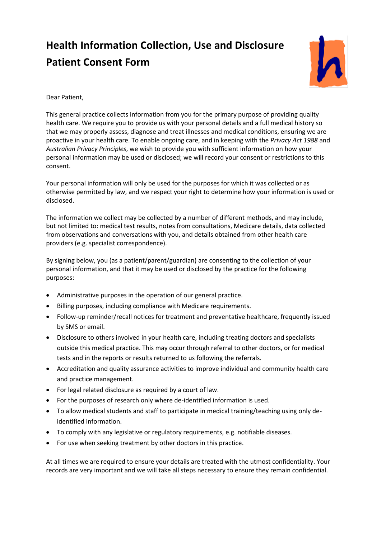## **Health Information Collection, Use and Disclosure Patient Consent Form**



Dear Patient,

This general practice collects information from you for the primary purpose of providing quality health care. We require you to provide us with your personal details and a full medical history so that we may properly assess, diagnose and treat illnesses and medical conditions, ensuring we are proactive in your health care. To enable ongoing care, and in keeping with the *Privacy Act 1988* and *Australian Privacy Principles*, we wish to provide you with sufficient information on how your personal information may be used or disclosed; we will record your consent or restrictions to this consent.

Your personal information will only be used for the purposes for which it was collected or as otherwise permitted by law, and we respect your right to determine how your information is used or disclosed.

The information we collect may be collected by a number of different methods, and may include, but not limited to: medical test results, notes from consultations, Medicare details, data collected from observations and conversations with you, and details obtained from other health care providers (e.g. specialist correspondence).

By signing below, you (as a patient/parent/guardian) are consenting to the collection of your personal information, and that it may be used or disclosed by the practice for the following purposes:

- Administrative purposes in the operation of our general practice.
- Billing purposes, including compliance with Medicare requirements.
- Follow-up reminder/recall notices for treatment and preventative healthcare, frequently issued by SMS or email.
- Disclosure to others involved in your health care, including treating doctors and specialists outside this medical practice. This may occur through referral to other doctors, or for medical tests and in the reports or results returned to us following the referrals.
- Accreditation and quality assurance activities to improve individual and community health care and practice management.
- For legal related disclosure as required by a court of law.
- For the purposes of research only where de-identified information is used.
- To allow medical students and staff to participate in medical training/teaching using only deidentified information.
- To comply with any legislative or regulatory requirements, e.g. notifiable diseases.
- For use when seeking treatment by other doctors in this practice.

At all times we are required to ensure your details are treated with the utmost confidentiality. Your records are very important and we will take all steps necessary to ensure they remain confidential.